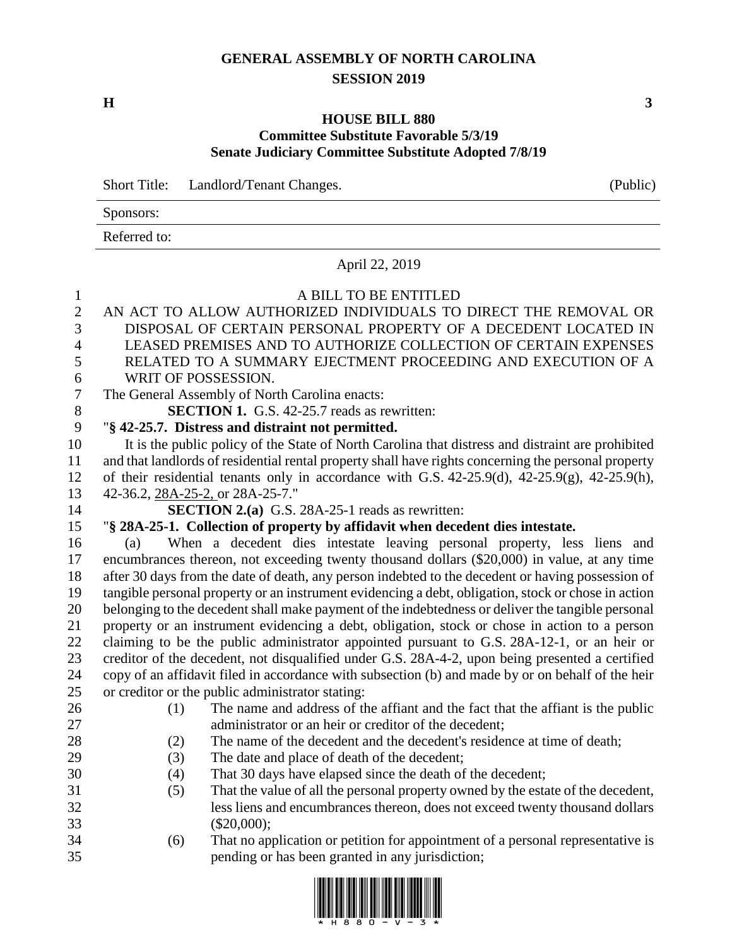## **GENERAL ASSEMBLY OF NORTH CAROLINA SESSION 2019**

**H 3**

## **HOUSE BILL 880 Committee Substitute Favorable 5/3/19 Senate Judiciary Committee Substitute Adopted 7/8/19**

Short Title: Landlord/Tenant Changes. (Public)

| Sponsors:    |  |
|--------------|--|
| Referred to: |  |

## April 22, 2019

## A BILL TO BE ENTITLED

 AN ACT TO ALLOW AUTHORIZED INDIVIDUALS TO DIRECT THE REMOVAL OR DISPOSAL OF CERTAIN PERSONAL PROPERTY OF A DECEDENT LOCATED IN LEASED PREMISES AND TO AUTHORIZE COLLECTION OF CERTAIN EXPENSES RELATED TO A SUMMARY EJECTMENT PROCEEDING AND EXECUTION OF A WRIT OF POSSESSION. The General Assembly of North Carolina enacts: **SECTION 1.** G.S. 42-25.7 reads as rewritten: "**§ 42-25.7. Distress and distraint not permitted.** It is the public policy of the State of North Carolina that distress and distraint are prohibited and that landlords of residential rental property shall have rights concerning the personal property of their residential tenants only in accordance with G.S. 42-25.9(d), 42-25.9(g), 42-25.9(h), 42-36.2, 28A-25-2, or 28A-25-7." **SECTION 2.(a)** G.S. 28A-25-1 reads as rewritten: "**§ 28A-25-1. Collection of property by affidavit when decedent dies intestate.** (a) When a decedent dies intestate leaving personal property, less liens and encumbrances thereon, not exceeding twenty thousand dollars (\$20,000) in value, at any time after 30 days from the date of death, any person indebted to the decedent or having possession of tangible personal property or an instrument evidencing a debt, obligation, stock or chose in action belonging to the decedent shall make payment of the indebtedness or deliver the tangible personal property or an instrument evidencing a debt, obligation, stock or chose in action to a person claiming to be the public administrator appointed pursuant to G.S. 28A-12-1, or an heir or creditor of the decedent, not disqualified under G.S. 28A-4-2, upon being presented a certified copy of an affidavit filed in accordance with subsection (b) and made by or on behalf of the heir or creditor or the public administrator stating: (1) The name and address of the affiant and the fact that the affiant is the public administrator or an heir or creditor of the decedent; (2) The name of the decedent and the decedent's residence at time of death; (3) The date and place of death of the decedent; (4) That 30 days have elapsed since the death of the decedent; (5) That the value of all the personal property owned by the estate of the decedent, less liens and encumbrances thereon, does not exceed twenty thousand dollars (\$20,000);

 (6) That no application or petition for appointment of a personal representative is pending or has been granted in any jurisdiction;

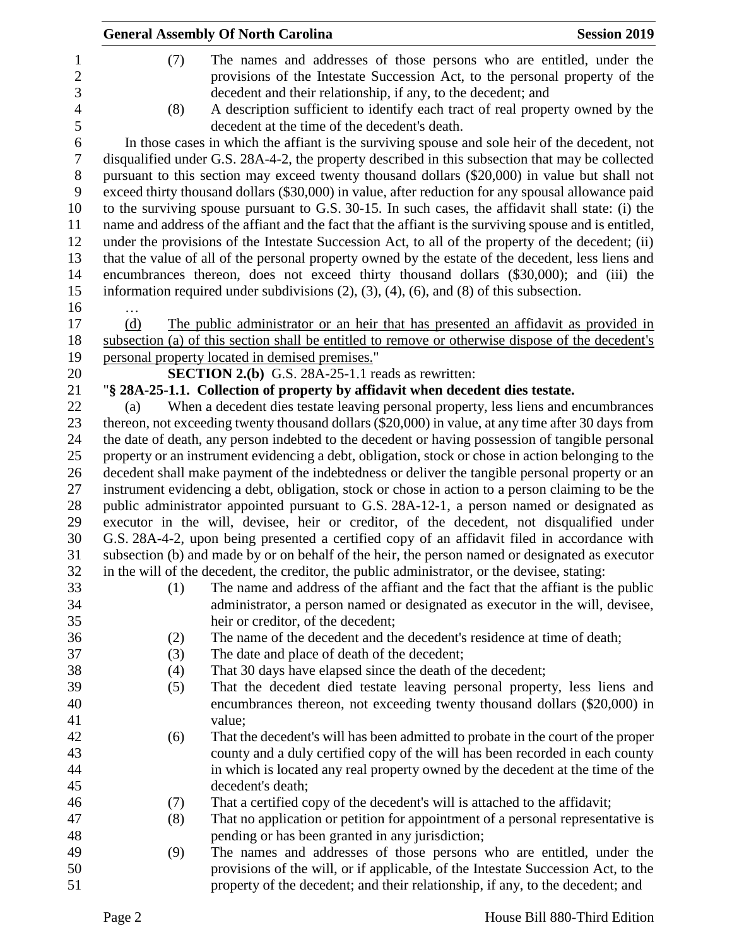|                  | <b>General Assembly Of North Carolina</b> |                                                                                                        | <b>Session 2019</b> |  |  |
|------------------|-------------------------------------------|--------------------------------------------------------------------------------------------------------|---------------------|--|--|
| $\mathbf{1}$     | (7)                                       | The names and addresses of those persons who are entitled, under the                                   |                     |  |  |
| $\overline{2}$   |                                           | provisions of the Intestate Succession Act, to the personal property of the                            |                     |  |  |
| 3                |                                           | decedent and their relationship, if any, to the decedent; and                                          |                     |  |  |
| $\overline{4}$   | (8)                                       | A description sufficient to identify each tract of real property owned by the                          |                     |  |  |
| 5                |                                           | decedent at the time of the decedent's death.                                                          |                     |  |  |
| 6                |                                           | In those cases in which the affiant is the surviving spouse and sole heir of the decedent, not         |                     |  |  |
| $\boldsymbol{7}$ |                                           | disqualified under G.S. 28A-4-2, the property described in this subsection that may be collected       |                     |  |  |
| $8\,$            |                                           | pursuant to this section may exceed twenty thousand dollars (\$20,000) in value but shall not          |                     |  |  |
| 9                |                                           | exceed thirty thousand dollars (\$30,000) in value, after reduction for any spousal allowance paid     |                     |  |  |
| 10               |                                           | to the surviving spouse pursuant to G.S. 30-15. In such cases, the affidavit shall state: (i) the      |                     |  |  |
| 11               |                                           | name and address of the affiant and the fact that the affiant is the surviving spouse and is entitled, |                     |  |  |
| 12               |                                           | under the provisions of the Intestate Succession Act, to all of the property of the decedent; (ii)     |                     |  |  |
| 13               |                                           | that the value of all of the personal property owned by the estate of the decedent, less liens and     |                     |  |  |
| 14               |                                           | encumbrances thereon, does not exceed thirty thousand dollars (\$30,000); and (iii) the                |                     |  |  |
| 15               |                                           | information required under subdivisions $(2)$ , $(3)$ , $(4)$ , $(6)$ , and $(8)$ of this subsection.  |                     |  |  |
| 16               | .                                         |                                                                                                        |                     |  |  |
| 17               | (d)                                       | The public administrator or an heir that has presented an affidavit as provided in                     |                     |  |  |
| 18               |                                           | subsection (a) of this section shall be entitled to remove or otherwise dispose of the decedent's      |                     |  |  |
| 19               |                                           | personal property located in demised premises."                                                        |                     |  |  |
| 20               |                                           | <b>SECTION 2.(b)</b> G.S. 28A-25-1.1 reads as rewritten:                                               |                     |  |  |
| 21               |                                           | "§ 28A-25-1.1. Collection of property by affidavit when decedent dies testate.                         |                     |  |  |
| 22               | (a)                                       | When a decedent dies testate leaving personal property, less liens and encumbrances                    |                     |  |  |
| 23               |                                           | thereon, not exceeding twenty thousand dollars (\$20,000) in value, at any time after 30 days from     |                     |  |  |
| 24               |                                           | the date of death, any person indebted to the decedent or having possession of tangible personal       |                     |  |  |
| 25               |                                           | property or an instrument evidencing a debt, obligation, stock or chose in action belonging to the     |                     |  |  |
| 26               |                                           | decedent shall make payment of the indebtedness or deliver the tangible personal property or an        |                     |  |  |
| 27               |                                           | instrument evidencing a debt, obligation, stock or chose in action to a person claiming to be the      |                     |  |  |
| 28               |                                           | public administrator appointed pursuant to G.S. 28A-12-1, a person named or designated as              |                     |  |  |
| 29               |                                           | executor in the will, devisee, heir or creditor, of the decedent, not disqualified under               |                     |  |  |
| 30               |                                           | G.S. 28A-4-2, upon being presented a certified copy of an affidavit filed in accordance with           |                     |  |  |
| 31               |                                           | subsection (b) and made by or on behalf of the heir, the person named or designated as executor        |                     |  |  |
| 32               |                                           | in the will of the decedent, the creditor, the public administrator, or the devisee, stating:          |                     |  |  |
| 33               | (1)                                       | The name and address of the affiant and the fact that the affiant is the public                        |                     |  |  |
| 34               |                                           | administrator, a person named or designated as executor in the will, devisee,                          |                     |  |  |
| 35               |                                           | heir or creditor, of the decedent;                                                                     |                     |  |  |
| 36               | (2)                                       | The name of the decedent and the decedent's residence at time of death;                                |                     |  |  |
| 37               | (3)                                       | The date and place of death of the decedent;                                                           |                     |  |  |
| 38               | (4)                                       | That 30 days have elapsed since the death of the decedent;                                             |                     |  |  |
| 39               | (5)                                       | That the decedent died testate leaving personal property, less liens and                               |                     |  |  |
| 40               |                                           | encumbrances thereon, not exceeding twenty thousand dollars (\$20,000) in                              |                     |  |  |
| 41               |                                           | value;                                                                                                 |                     |  |  |
| 42               | (6)                                       | That the decedent's will has been admitted to probate in the court of the proper                       |                     |  |  |
| 43               |                                           | county and a duly certified copy of the will has been recorded in each county                          |                     |  |  |
| 44               |                                           | in which is located any real property owned by the decedent at the time of the                         |                     |  |  |
| 45               |                                           | decedent's death;                                                                                      |                     |  |  |
| 46               | (7)                                       | That a certified copy of the decedent's will is attached to the affidavit;                             |                     |  |  |
| 47               | (8)                                       | That no application or petition for appointment of a personal representative is                        |                     |  |  |
| 48               |                                           | pending or has been granted in any jurisdiction;                                                       |                     |  |  |
| 49               | (9)                                       | The names and addresses of those persons who are entitled, under the                                   |                     |  |  |
| 50               |                                           | provisions of the will, or if applicable, of the Intestate Succession Act, to the                      |                     |  |  |
| 51               |                                           | property of the decedent; and their relationship, if any, to the decedent; and                         |                     |  |  |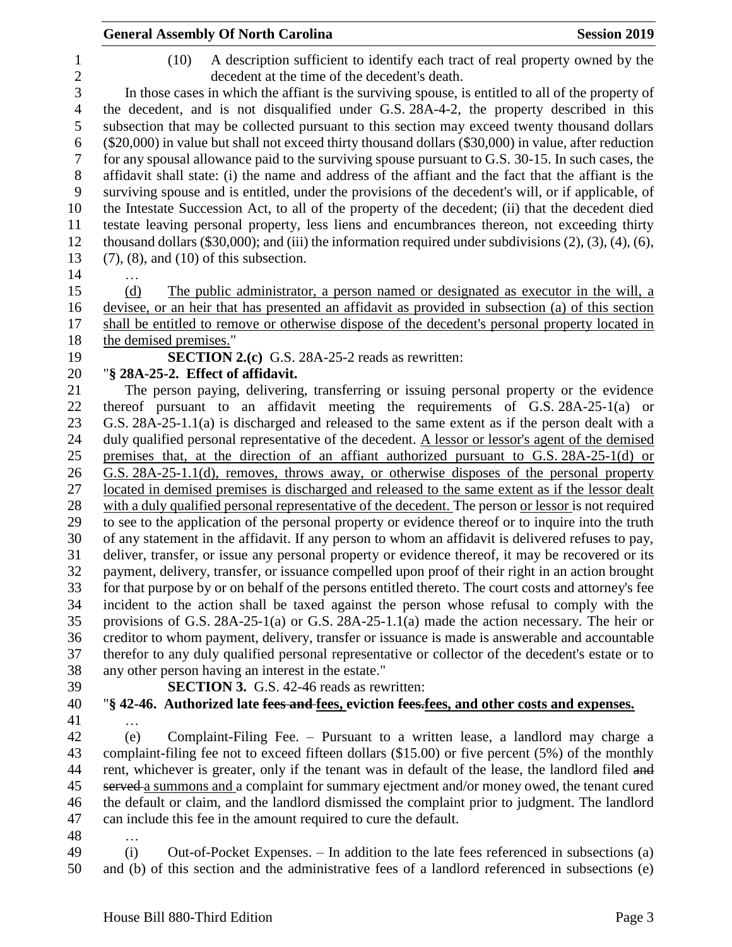|                              | <b>General Assembly Of North Carolina</b>                                                                                                                                                                 | <b>Session 2019</b> |
|------------------------------|-----------------------------------------------------------------------------------------------------------------------------------------------------------------------------------------------------------|---------------------|
| $\mathbf{1}$<br>$\mathbf{2}$ | A description sufficient to identify each tract of real property owned by the<br>(10)<br>decedent at the time of the decedent's death.                                                                    |                     |
| 3<br>$\overline{4}$          | In those cases in which the affiant is the surviving spouse, is entitled to all of the property of<br>the decedent, and is not disqualified under G.S. 28A-4-2, the property described in this            |                     |
| 5                            | subsection that may be collected pursuant to this section may exceed twenty thousand dollars                                                                                                              |                     |
| 6                            | (\$20,000) in value but shall not exceed thirty thousand dollars (\$30,000) in value, after reduction                                                                                                     |                     |
| $\tau$                       | for any spousal allowance paid to the surviving spouse pursuant to G.S. 30-15. In such cases, the                                                                                                         |                     |
| $8\,$                        | affidavit shall state: (i) the name and address of the affiant and the fact that the affiant is the                                                                                                       |                     |
| 9                            | surviving spouse and is entitled, under the provisions of the decedent's will, or if applicable, of                                                                                                       |                     |
| 10<br>11                     | the Intestate Succession Act, to all of the property of the decedent; (ii) that the decedent died<br>testate leaving personal property, less liens and encumbrances thereon, not exceeding thirty         |                     |
| 12                           | thousand dollars $(\$30,000)$ ; and (iii) the information required under subdivisions $(2)$ , $(3)$ , $(4)$ , $(6)$ ,                                                                                     |                     |
| 13                           | $(7)$ , $(8)$ , and $(10)$ of this subsection.                                                                                                                                                            |                     |
| 14                           |                                                                                                                                                                                                           |                     |
| 15                           | The public administrator, a person named or designated as executor in the will, a<br>(d)                                                                                                                  |                     |
| 16                           | devisee, or an heir that has presented an affidavit as provided in subsection (a) of this section                                                                                                         |                     |
| 17                           | shall be entitled to remove or otherwise dispose of the decedent's personal property located in                                                                                                           |                     |
| 18                           | the demised premises."                                                                                                                                                                                    |                     |
| 19                           | <b>SECTION 2.(c)</b> G.S. 28A-25-2 reads as rewritten:                                                                                                                                                    |                     |
| 20                           | "§ 28A-25-2. Effect of affidavit.                                                                                                                                                                         |                     |
| 21                           | The person paying, delivering, transferring or issuing personal property or the evidence<br>thereof pursuant to an affidavit meeting the requirements of $G.S. 28A-25-1(a)$ or                            |                     |
| 22<br>23                     | G.S. 28A-25-1.1(a) is discharged and released to the same extent as if the person dealt with a                                                                                                            |                     |
| 24                           | duly qualified personal representative of the decedent. A lessor or lessor's agent of the demised                                                                                                         |                     |
| 25                           | premises that, at the direction of an affiant authorized pursuant to G.S. 28A-25-1(d) or                                                                                                                  |                     |
| 26                           | G.S. 28A-25-1.1(d), removes, throws away, or otherwise disposes of the personal property                                                                                                                  |                     |
| 27                           | located in demised premises is discharged and released to the same extent as if the lessor dealt                                                                                                          |                     |
| 28                           | with a duly qualified personal representative of the decedent. The person or lessor is not required                                                                                                       |                     |
| 29                           | to see to the application of the personal property or evidence thereof or to inquire into the truth                                                                                                       |                     |
| 30                           | of any statement in the affidavit. If any person to whom an affidavit is delivered refuses to pay,                                                                                                        |                     |
| 31                           | deliver, transfer, or issue any personal property or evidence thereof, it may be recovered or its                                                                                                         |                     |
| 32<br>33                     | payment, delivery, transfer, or issuance compelled upon proof of their right in an action brought<br>for that purpose by or on behalf of the persons entitled thereto. The court costs and attorney's fee |                     |
| 34                           | incident to the action shall be taxed against the person whose refusal to comply with the                                                                                                                 |                     |
| 35                           | provisions of G.S. $28A-25-1(a)$ or G.S. $28A-25-1.1(a)$ made the action necessary. The heir or                                                                                                           |                     |
| 36                           | creditor to whom payment, delivery, transfer or issuance is made is answerable and accountable                                                                                                            |                     |
| 37                           | therefor to any duly qualified personal representative or collector of the decedent's estate or to                                                                                                        |                     |
| 38                           | any other person having an interest in the estate."                                                                                                                                                       |                     |
| 39                           | <b>SECTION 3.</b> G.S. 42-46 reads as rewritten:                                                                                                                                                          |                     |
| 40                           | "§ 42-46. Authorized late fees and fees, eviction fees, fees, and other costs and expenses.                                                                                                               |                     |
| 41                           | .                                                                                                                                                                                                         |                     |
| 42                           | Complaint-Filing Fee. – Pursuant to a written lease, a landlord may charge a<br>(e)                                                                                                                       |                     |
| 43<br>44                     | complaint-filing fee not to exceed fifteen dollars (\$15.00) or five percent (5%) of the monthly<br>rent, whichever is greater, only if the tenant was in default of the lease, the landlord filed and    |                     |
| 45                           | served a summons and a complaint for summary ejectment and/or money owed, the tenant cured                                                                                                                |                     |
| 46                           | the default or claim, and the landlord dismissed the complaint prior to judgment. The landlord                                                                                                            |                     |
| 47                           | can include this fee in the amount required to cure the default.                                                                                                                                          |                     |
| 48                           | .                                                                                                                                                                                                         |                     |
| 49                           | Out-of-Pocket Expenses. – In addition to the late fees referenced in subsections (a)<br>(i)                                                                                                               |                     |
| 50                           | and (b) of this section and the administrative fees of a landlord referenced in subsections (e)                                                                                                           |                     |